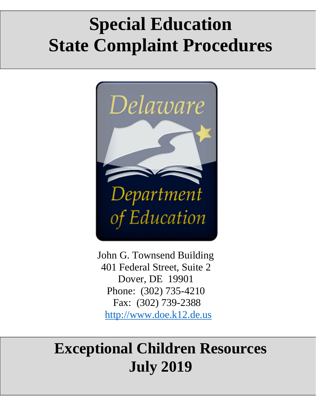# **Special Education State Complaint Procedures**



John G. Townsend Building 401 Federal Street, Suite 2 Dover, DE 19901 Phone: (302) 735-4210 Fax: (302) 739-2388 http://www.doe.k12.de.us

# **Exceptional Children Resources July 2019**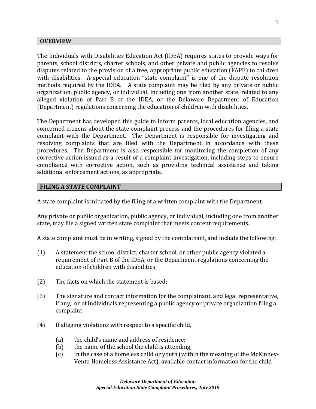#### **OVERVIEW**

The Individuals with Disabilities Education Act (IDEA) requires states to provide ways for parents, school districts, charter schools, and other private and public agencies to resolve disputes related to the provision of a free, appropriate public education (FAPE) to children with disabilities. A special education "state complaint" is one of the dispute resolution methods required by the IDEA. A state complaint may be filed by any private or public organization, public agency, or individual, including one from another state, related to any alleged violation of Part B of the IDEA, or the Delaware Department of Education (Department) regulations concerning the education of children with disabilities.

The Department has developed this guide to inform parents, local education agencies, and concerned citizens about the state complaint process and the procedures for filing a state complaint with the Department. The Department is responsible for investigating and resolving complaints that are filed with the Department in accordance with these procedures. The Department is also responsible for monitoring the completion of any corrective action issued as a result of a complaint investigation, including steps to ensure compliance with corrective action, such as providing technical assistance and taking additional enforcement actions, as appropriate.

#### **FILING A STATE COMPLAINT**

A state complaint is initiated by the filing of a written complaint with the Department.

Any private or public organization, public agency, or individual, including one from another state, may file a signed written state complaint that meets content requirements.

A state complaint must be in writing, signed by the complainant, and include the following:

- (1) A statement the school district, charter school, or other public agency violated a requirement of Part B of the IDEA, or the Department regulations concerning the education of children with disabilities;
- (2) The facts on which the statement is based;
- (3) The signature and contact information for the complainant, and legal representative, if any, or of individuals representing a public agency or private organization filing a complaint;
- (4) If alleging violations with respect to a specific child,
	- (a) the child's name and address of residence;
	- (b) the name of the school the child is attending;
	- (c) in the case of a homeless child or youth (within the meaning of the McKinney-Vento Homeless Assistance Act), available contact information for the child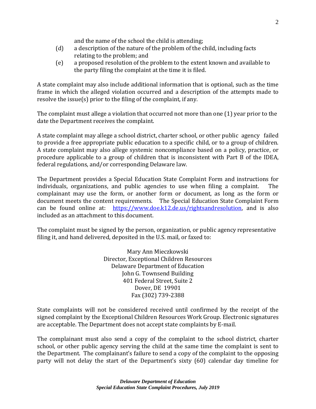and the name of the school the child is attending;

- (d) a description of the nature of the problem of the child, including facts relating to the problem; and
- (e) a proposed resolution of the problem to the extent known and available to the party filing the complaint at the time it is filed.

A state complaint may also include additional information that is optional, such as the time frame in which the alleged violation occurred and a description of the attempts made to resolve the issue(s) prior to the filing of the complaint, if any.

The complaint must allege a violation that occurred not more than one (1) year prior to the date the Department receives the complaint.

A state complaint may allege a school district, charter school, or other public agency failed to provide a free appropriate public education to a specific child, or to a group of children. A state complaint may also allege systemic noncompliance based on a policy, practice, or procedure applicable to a group of children that is inconsistent with Part B of the IDEA, federal regulations, and/or corresponding Delaware law.

The Department provides a Special Education State Complaint Form and instructions for individuals, organizations, and public agencies to use when filing a complaint. The complainant may use the form, or another form or document, as long as the form or document meets the content requirements. The Special Education State Complaint Form can be found online at: https://www.doe.k12.de.us/rightsandresolution, and is also included as an attachment to this document.

The complaint must be signed by the person, organization, or public agency representative filing it, and hand delivered, deposited in the U.S. mail, or faxed to:

> Mary Ann Mieczkowski Director, Exceptional Children Resources Delaware Department of Education John G. Townsend Building 401 Federal Street, Suite 2 Dover, DE 19901 Fax (302) 739-2388

State complaints will not be considered received until confirmed by the receipt of the signed complaint by the Exceptional Children Resources Work Group. Electronic signatures are acceptable. The Department does not accept state complaints by E-mail.

The complainant must also send a copy of the complaint to the school district, charter school, or other public agency serving the child at the same time the complaint is sent to the Department. The complainant's failure to send a copy of the complaint to the opposing party will not delay the start of the Department's sixty (60) calendar day timeline for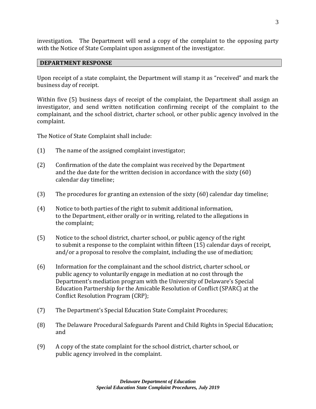investigation. The Department will send a copy of the complaint to the opposing party with the Notice of State Complaint upon assignment of the investigator.

#### **DEPARTMENT RESPONSE**

Upon receipt of a state complaint, the Department will stamp it as "received" and mark the business day of receipt.

Within five (5) business days of receipt of the complaint, the Department shall assign an investigator, and send written notification confirming receipt of the complaint to the complainant, and the school district, charter school, or other public agency involved in the complaint.

The Notice of State Complaint shall include:

- (1) The name of the assigned complaint investigator;
- (2) Confirmation of the date the complaint was received by the Department and the due date for the written decision in accordance with the sixty (60) calendar day timeline;
- (3) The procedures for granting an extension of the sixty (60) calendar day timeline;
- (4) Notice to both parties of the right to submit additional information, to the Department, either orally or in writing, related to the allegations in the complaint;
- (5) Notice to the school district, charter school, or public agency of the right to submit a response to the complaint within fifteen (15) calendar days of receipt, and/or a proposal to resolve the complaint, including the use of mediation;
- (6) Information for the complainant and the school district, charter school, or public agency to voluntarily engage in mediation at no cost through the Department's mediation program with the University of Delaware's Special Education Partnership for the Amicable Resolution of Conflict (SPARC) at the Conflict Resolution Program (CRP);
- (7) The Department's Special Education State Complaint Procedures;
- (8) The Delaware Procedural Safeguards Parent and Child Rights in Special Education; and
- (9) A copy of the state complaint for the school district, charter school, or public agency involved in the complaint.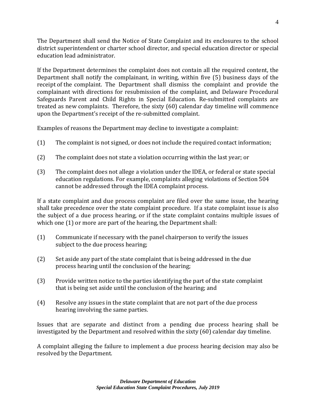The Department shall send the Notice of State Complaint and its enclosures to the school district superintendent or charter school director, and special education director or special education lead administrator.

If the Department determines the complaint does not contain all the required content, the Department shall notify the complainant, in writing, within five (5) business days of the receipt of the complaint. The Department shall dismiss the complaint and provide the complainant with directions for resubmission of the complaint, and Delaware Procedural Safeguards Parent and Child Rights in Special Education. Re-submitted complaints are treated as new complaints. Therefore, the sixty (60) calendar day timeline will commence upon the Department's receipt of the re-submitted complaint.

Examples of reasons the Department may decline to investigate a complaint:

- (1) The complaint is not signed, or does not include the required contact information;
- (2) The complaint does not state a violation occurring within the last year; or
- (3) The complaint does not allege a violation under the IDEA, or federal or state special education regulations. For example, complaints alleging violations of Section 504 cannot be addressed through the IDEA complaint process.

If a state complaint and due process complaint are filed over the same issue, the hearing shall take precedence over the state complaint procedure. If a state complaint issue is also the subject of a due process hearing, or if the state complaint contains multiple issues of which one (1) or more are part of the hearing, the Department shall:

- (1) Communicate if necessary with the panel chairperson to verify the issues subject to the due process hearing;
- (2) Set aside any part of the state complaint that is being addressed in the due process hearing until the conclusion of the hearing;
- (3) Provide written notice to the parties identifying the part of the state complaint that is being set aside until the conclusion of the hearing; and
- (4) Resolve any issues in the state complaint that are not part of the due process hearing involving the same parties.

Issues that are separate and distinct from a pending due process hearing shall be investigated by the Department and resolved within the sixty (60) calendar day timeline.

A complaint alleging the failure to implement a due process hearing decision may also be resolved by the Department.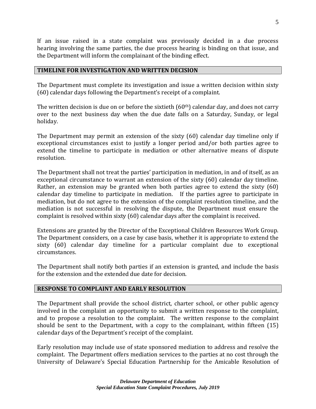If an issue raised in a state complaint was previously decided in a due process hearing involving the same parties, the due process hearing is binding on that issue, and the Department will inform the complainant of the binding effect.

#### **TIMELINE FOR INVESTIGATION AND WRITTEN DECISION**

The Department must complete its investigation and issue a written decision within sixty (60) calendar days following the Department's receipt of a complaint.

The written decision is due on or before the sixtieth  $(60<sup>th</sup>)$  calendar day, and does not carry over to the next business day when the due date falls on a Saturday, Sunday, or legal holiday.

The Department may permit an extension of the sixty (60) calendar day timeline only if exceptional circumstances exist to justify a longer period and/or both parties agree to extend the timeline to participate in mediation or other alternative means of dispute resolution.

The Department shall not treat the parties' participation in mediation, in and of itself, as an exceptional circumstance to warrant an extension of the sixty (60) calendar day timeline. Rather, an extension may be granted when both parties agree to extend the sixty (60) calendar day timeline to participate in mediation. If the parties agree to participate in mediation, but do not agree to the extension of the complaint resolution timeline, and the mediation is not successful in resolving the dispute, the Department must ensure the complaint is resolved within sixty (60) calendar days after the complaint is received.

Extensions are granted by the Director of the Exceptional Children Resources Work Group. The Department considers, on a case by case basis, whether it is appropriate to extend the sixty (60) calendar day timeline for a particular complaint due to exceptional circumstances.

The Department shall notify both parties if an extension is granted, and include the basis for the extension and the extended due date for decision.

#### **RESPONSE TO COMPLAINT AND EARLY RESOLUTION**

The Department shall provide the school district, charter school, or other public agency involved in the complaint an opportunity to submit a written response to the complaint, and to propose a resolution to the complaint. The written response to the complaint should be sent to the Department, with a copy to the complainant, within fifteen (15) calendar days of the Department's receipt of the complaint.

Early resolution may include use of state sponsored mediation to address and resolve the complaint. The Department offers mediation services to the parties at no cost through the University of Delaware's Special Education Partnership for the Amicable Resolution of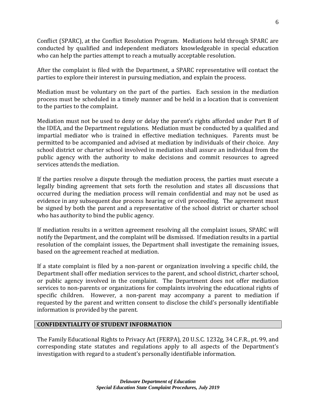Conflict (SPARC), at the Conflict Resolution Program. Mediations held through SPARC are conducted by qualified and independent mediators knowledgeable in special education who can help the parties attempt to reach a mutually acceptable resolution.

After the complaint is filed with the Department, a SPARC representative will contact the parties to explore their interest in pursuing mediation, and explain the process.

Mediation must be voluntary on the part of the parties. Each session in the mediation process must be scheduled in a timely manner and be held in a location that is convenient to the parties to the complaint.

Mediation must not be used to deny or delay the parent's rights afforded under Part B of the IDEA, and the Department regulations. Mediation must be conducted by a qualified and impartial mediator who is trained in effective mediation techniques. Parents must be permitted to be accompanied and advised at mediation by individuals of their choice. Any school district or charter school involved in mediation shall assure an individual from the public agency with the authority to make decisions and commit resources to agreed services attends the mediation.

If the parties resolve a dispute through the mediation process, the parties must execute a legally binding agreement that sets forth the resolution and states all discussions that occurred during the mediation process will remain confidential and may not be used as evidence in any subsequent due process hearing or civil proceeding. The agreement must be signed by both the parent and a representative of the school district or charter school who has authority to bind the public agency.

If mediation results in a written agreement resolving all the complaint issues, SPARC will notify the Department, and the complaint will be dismissed. If mediation results in a partial resolution of the complaint issues, the Department shall investigate the remaining issues, based on the agreement reached at mediation.

If a state complaint is filed by a non-parent or organization involving a specific child, the Department shall offer mediation services to the parent, and school district, charter school, or public agency involved in the complaint. The Department does not offer mediation services to non-parents or organizations for complaints involving the educational rights of specific children. However, a non-parent may accompany a parent to mediation if requested by the parent and written consent to disclose the child's personally identifiable information is provided by the parent.

#### **CONFIDENTIALITY OF STUDENT INFORMATION**

The Family Educational Rights to Privacy Act (FERPA), 20 U.S.C. 1232g, 34 C.F.R., pt. 99, and corresponding state statutes and regulations apply to all aspects of the Department's investigation with regard to a student's personally identifiable information.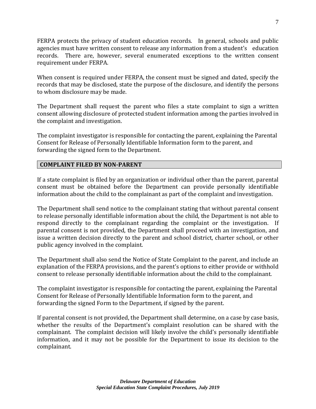FERPA protects the privacy of student education records. In general, schools and public agencies must have written consent to release any information from a student's education records. There are, however, several enumerated exceptions to the written consent requirement under FERPA.

When consent is required under FERPA, the consent must be signed and dated, specify the records that may be disclosed, state the purpose of the disclosure, and identify the persons to whom disclosure may be made.

The Department shall request the parent who files a state complaint to sign a written consent allowing disclosure of protected student information among the parties involved in the complaint and investigation.

The complaint investigator is responsible for contacting the parent, explaining the Parental Consent for Release of Personally Identifiable Information form to the parent, and forwarding the signed form to the Department.

#### **COMPLAINT FILED BY NON-PARENT**

If a state complaint is filed by an organization or individual other than the parent, parental consent must be obtained before the Department can provide personally identifiable information about the child to the complainant as part of the complaint and investigation.

The Department shall send notice to the complainant stating that without parental consent to release personally identifiable information about the child, the Department is not able to respond directly to the complainant regarding the complaint or the investigation. If parental consent is not provided, the Department shall proceed with an investigation, and issue a written decision directly to the parent and school district, charter school, or other public agency involved in the complaint.

The Department shall also send the Notice of State Complaint to the parent, and include an explanation of the FERPA provisions, and the parent's options to either provide or withhold consent to release personally identifiable information about the child to the complainant.

The complaint investigator is responsible for contacting the parent, explaining the Parental Consent for Release of Personally Identifiable Information form to the parent, and forwarding the signed Form to the Department, if signed by the parent.

If parental consent is not provided, the Department shall determine, on a case by case basis, whether the results of the Department's complaint resolution can be shared with the complainant. The complaint decision will likely involve the child's personally identifiable information, and it may not be possible for the Department to issue its decision to the complainant.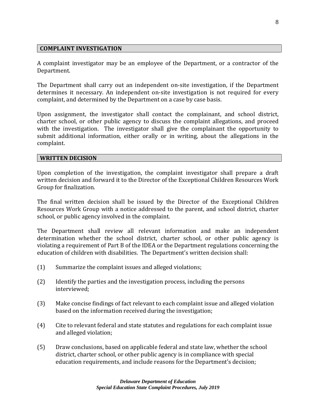#### **COMPLAINT INVESTIGATION**

A complaint investigator may be an employee of the Department, or a contractor of the Department.

The Department shall carry out an independent on-site investigation, if the Department determines it necessary. An independent on-site investigation is not required for every complaint, and determined by the Department on a case by case basis.

Upon assignment, the investigator shall contact the complainant, and school district, charter school, or other public agency to discuss the complaint allegations, and proceed with the investigation. The investigator shall give the complainant the opportunity to submit additional information, either orally or in writing, about the allegations in the complaint.

#### **WRITTEN DECISION**

Upon completion of the investigation, the complaint investigator shall prepare a draft written decision and forward it to the Director of the Exceptional Children Resources Work Group for finalization.

The final written decision shall be issued by the Director of the Exceptional Children Resources Work Group with a notice addressed to the parent, and school district, charter school, or public agency involved in the complaint.

The Department shall review all relevant information and make an independent determination whether the school district, charter school, or other public agency is violating a requirement of Part B of the IDEA or the Department regulations concerning the education of children with disabilities. The Department's written decision shall:

- (1) Summarize the complaint issues and alleged violations;
- (2) Identify the parties and the investigation process, including the persons interviewed;
- (3) Make concise findings of fact relevant to each complaint issue and alleged violation based on the information received during the investigation;
- (4) Cite to relevant federal and state statutes and regulations for each complaint issue and alleged violation;
- (5) Draw conclusions, based on applicable federal and state law, whether the school district, charter school, or other public agency is in compliance with special education requirements, and include reasons for the Department's decision;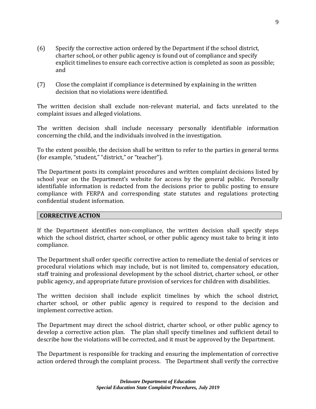- (6) Specify the corrective action ordered by the Department if the school district, charter school, or other public agency is found out of compliance and specify explicit timelines to ensure each corrective action is completed as soon as possible; and
- (7) Close the complaint if compliance is determined by explaining in the written decision that no violations were identified.

The written decision shall exclude non-relevant material, and facts unrelated to the complaint issues and alleged violations.

The written decision shall include necessary personally identifiable information concerning the child, and the individuals involved in the investigation.

To the extent possible, the decision shall be written to refer to the parties in general terms (for example, "student," "district," or "teacher").

The Department posts its complaint procedures and written complaint decisions listed by school year on the Department's website for access by the general public. Personally identifiable information is redacted from the decisions prior to public posting to ensure compliance with FERPA and corresponding state statutes and regulations protecting confidential student information.

#### **CORRECTIVE ACTION**

If the Department identifies non-compliance, the written decision shall specify steps which the school district, charter school, or other public agency must take to bring it into compliance.

The Department shall order specific corrective action to remediate the denial of services or procedural violations which may include, but is not limited to, compensatory education, staff training and professional development by the school district, charter school, or other public agency, and appropriate future provision of services for children with disabilities.

The written decision shall include explicit timelines by which the school district, charter school, or other public agency is required to respond to the decision and implement corrective action.

The Department may direct the school district, charter school, or other public agency to develop a corrective action plan. The plan shall specify timelines and sufficient detail to describe how the violations will be corrected, and it must be approved by the Department.

The Department is responsible for tracking and ensuring the implementation of corrective action ordered through the complaint process. The Department shall verify the corrective

9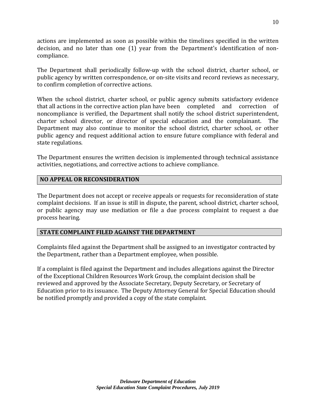actions are implemented as soon as possible within the timelines specified in the written decision, and no later than one (1) year from the Department's identification of noncompliance.

The Department shall periodically follow-up with the school district, charter school, or public agency by written correspondence, or on-site visits and record reviews as necessary, to confirm completion of corrective actions.

When the school district, charter school, or public agency submits satisfactory evidence that all actions in the corrective action plan have been completed and correction of noncompliance is verified, the Department shall notify the school district superintendent, charter school director, or director of special education and the complainant. The Department may also continue to monitor the school district, charter school, or other public agency and request additional action to ensure future compliance with federal and state regulations.

The Department ensures the written decision is implemented through technical assistance activities, negotiations, and corrective actions to achieve compliance.

### **NO APPEAL OR RECONSIDERATION**

The Department does not accept or receive appeals or requests for reconsideration of state complaint decisions. If an issue is still in dispute, the parent, school district, charter school, or public agency may use mediation or file a due process complaint to request a due process hearing.

## **STATE COMPLAINT FILED AGAINST THE DEPARTMENT**

Complaints filed against the Department shall be assigned to an investigator contracted by the Department, rather than a Department employee, when possible.

If a complaint is filed against the Department and includes allegations against the Director of the Exceptional Children Resources Work Group, the complaint decision shall be reviewed and approved by the Associate Secretary, Deputy Secretary, or Secretary of Education prior to its issuance. The Deputy Attorney General for Special Education should be notified promptly and provided a copy of the state complaint.